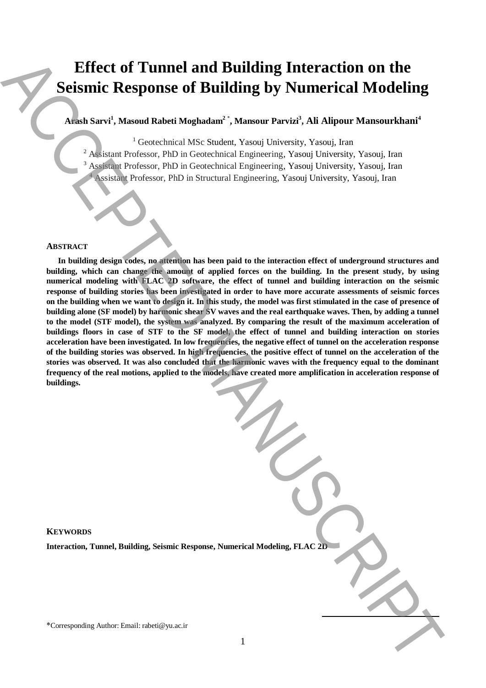# **Effect of Tunnel and Building Interaction on the Seismic Response of Building by Numerical Modeling**

**Arash Sarvi<sup>1</sup> , Masoud Rabeti Moghadam<sup>2</sup>** \* **, Mansour Parvizi<sup>3</sup> , Ali Alipour Mansourkhani<sup>4</sup>**

<sup>1</sup> Geotechnical MSc Student, Yasouj University, Yasouj, Iran

<sup>2</sup> Assistant Professor, PhD in Geotechnical Engineering, Yasouj University, Yasouj, Iran

<sup>3</sup> Assistant Professor, PhD in Geotechnical Engineering, Yasouj University, Yasouj, Iran

<sup>4</sup> Assistant Professor, PhD in Structural Engineering, Yasouj University, Yasouj, Iran

#### **ABSTRACT**

**In building design codes, no attention has been paid to the interaction effect of underground structures and building, which can change the amount of applied forces on the building. In the present study, by using numerical modeling with FLAC 2D software, the effect of tunnel and building interaction on the seismic response of building stories has been investigated in order to have more accurate assessments of seismic forces on the building when we want to design it. In this study, the model was first stimulated in the case of presence of building alone (SF model) by harmonic shear SV waves and the real earthquake waves. Then, by adding a tunnel to the model (STF model), the system was analyzed. By comparing the result of the maximum acceleration of buildings floors in case of STF to the SF model, the effect of tunnel and building interaction on stories acceleration have been investigated. In low frequencies, the negative effect of tunnel on the acceleration response of the building stories was observed. In high frequencies, the positive effect of tunnel on the acceleration of the stories was observed. It was also concluded that the harmonic waves with the frequency equal to the dominant frequency of the real motions, applied to the models, have created more amplification in acceleration response of buildings. Effect of Tunnel and Building by Numerical Modelling**<br> **Science Author: Email:** Alexandre', Mansure Particle, Ali Alipane Mansureliani<sup>1</sup><br>
Alison Start (Secondari Professor, PH) in Generalizati Professor, New University,

**KEYWORDS**

**Interaction, Tunnel, Building, Seismic Response, Numerical Modeling, FLAC 2D**

**.**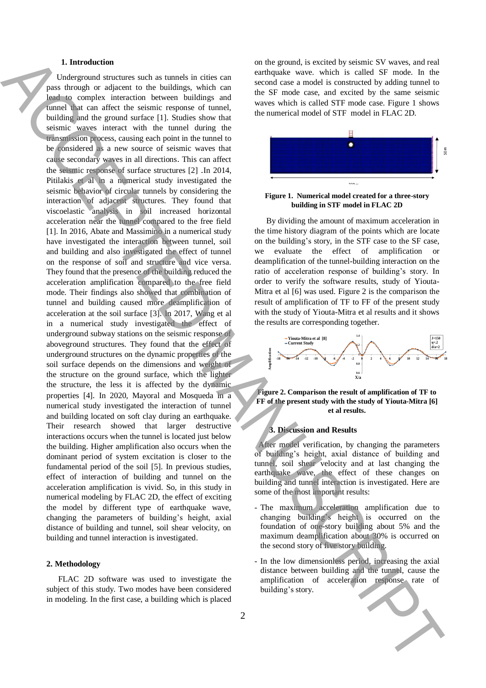#### **1. Introduction**

 Underground structures such as tunnels in cities can pass through or adjacent to the buildings, which can lead to complex interaction between buildings and tunnel that can affect the seismic response of tunnel, building and the ground surface [1]. Studies show that seismic waves interact with the tunnel during the transmission process, causing each point in the tunnel to be considered as a new source of seismic waves that cause secondary waves in all directions. This can affect the seismic response of surface structures [2] .In 2014, Pitilakis et al in a numerical study investigated the seismic behavior of circular tunnels by considering the interaction of adjacent structures. They found that viscoelastic analysis in soil increased horizontal acceleration near the tunnel compared to the free field [1]. In 2016, Abate and Massimino in a numerical study have investigated the interaction between tunnel, soil and building and also investigated the effect of tunnel on the response of soil and structure and vice versa. They found that the presence of the building reduced the acceleration amplification compared to the free field mode. Their findings also showed that combination of tunnel and building caused more deamplification of acceleration at the soil surface [3]. In 2017, Wang et al in a numerical study investigated the effect of underground subway stations on the seismic response of aboveground structures. They found that the effect of underground structures on the dynamic properties of the soil surface depends on the dimensions and weight of the structure on the ground surface, which the lighter the structure, the less it is affected by the dynamic properties [4]. In 2020, Mayoral and Mosqueda in a numerical study investigated the interaction of tunnel and building located on soft clay during an earthquake. Their research showed that larger destructive interactions occurs when the tunnel is located just below the building. Higher amplification also occurs when the dominant period of system excitation is closer to the fundamental period of the soil [5]. In previous studies, effect of interaction of building and tunnel on the acceleration amplification is vivid. So, in this study in numerical modeling by FLAC 2D, the effect of exciting the model by different type of earthquake wave, changing the parameters of building's height, axial distance of building and tunnel, soil shear velocity, on building and tunnel interaction is investigated. The three costs are controlled a single in the state of the product is easier and the state of the state of the state of the state of the state of the state of the state of the state of the state of the state of the state

#### **2. Methodology**

FLAC 2D software was used to investigate the subject of this study. Two modes have been considered in modeling. In the first case, a building which is placed

on the ground, is excited by seismic SV waves, and real earthquake wave. which is called SF mode. In the second case a model is constructed by adding tunnel to the SF mode case, and excited by the same seismic waves which is called STF mode case. Figure 1 shows the numerical model of STF model in FLAC 2D.





By dividing the amount of maximum acceleration in the time history diagram of the points which are locate on the building's story, in the STF case to the SF case, we evaluate the effect of amplification or deamplification of the tunnel-building interaction on the ratio of acceleration response of building's story. In order to verify the software results, study of Yiouta-Mitra et al [6] was used. Figure 2 is the comparison the result of amplification of TF to FF of the present study with the study of Yiouta-Mitra et al results and it shows the results are corresponding together.





## **3. Discussion and Results**

 After model verification, by changing the parameters of building's height, axial distance of building and tunnel, soil shear velocity and at last changing the earthquake wave, the effect of these changes on building and tunnel interaction is investigated. Here are some of the most important results:

- The maximum acceleration amplification due to changing building's height is occurred on the foundation of one-story building about 5% and the maximum deamplification about 30% is occurred on the second story of five story building.
- In the low dimensionless period, increasing the axial distance between building and the tunnel, cause the amplification of acceleration response rate of building's story.